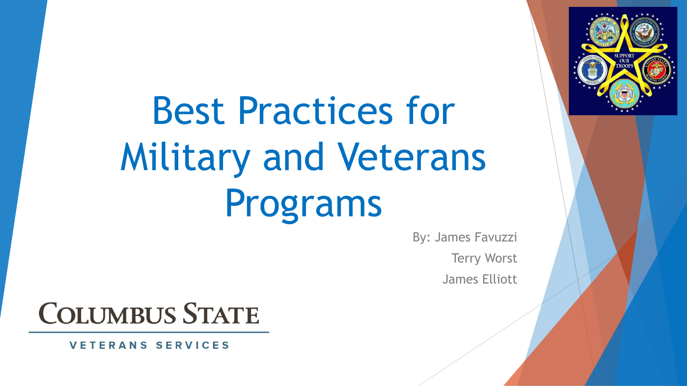Best Practices for Military and Veterans Programs

> By: James Favuzzi Terry Worst James Elliott

# **COLUMBUS STATE**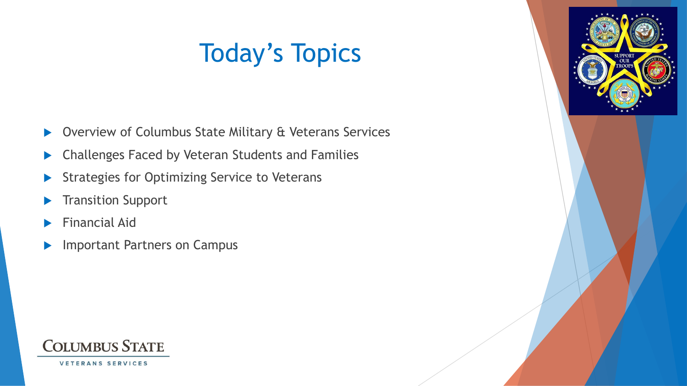# Today's Topics

- ▶ Overview of Columbus State Military & Veterans Services
- **Challenges Faced by Veteran Students and Families**
- Strategies for Optimizing Service to Veterans
- **Transition Support**
- Financial Aid
- **Important Partners on Campus**



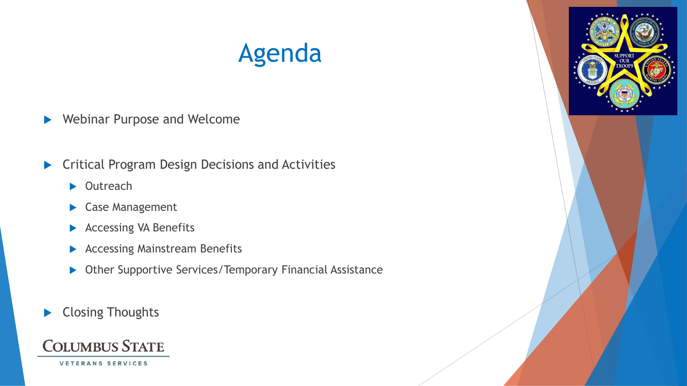# Agenda

- Webinar Purpose and Welcome
- Critical Program Design Decisions and Activities
	- ▶ Outreach
	- Case Management
	- **Accessing VA Benefits**
	- **Accessing Mainstream Benefits**
	- ▶ Other Supportive Services/Temporary Financial Assistance
- ▶ Closing Thoughts



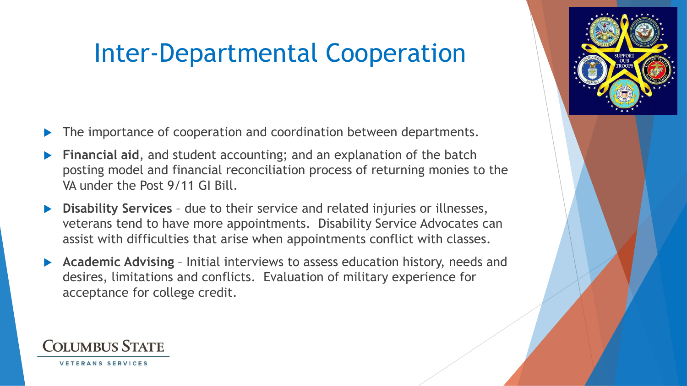# Inter-Departmental Cooperation

- The importance of cooperation and coordination between departments.
- **Financial aid**, and student accounting; and an explanation of the batch posting model and financial reconciliation process of returning monies to the VA under the Post 9/11 GI Bill.
- **Disability Services**  due to their service and related injuries or illnesses, veterans tend to have more appointments. Disability Service Advocates can assist with difficulties that arise when appointments conflict with classes.
- **Academic Advising**  Initial interviews to assess education history, needs and desires, limitations and conflicts. Evaluation of military experience for acceptance for college credit.

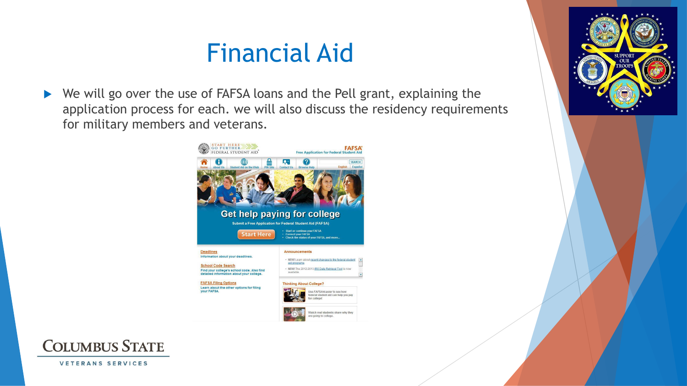## Financial Aid

**SUPPORT** 

▶ We will go over the use of FAFSA loans and the Pell grant, explaining the application process for each. we will also discuss the residency requirements for military members and veterans.



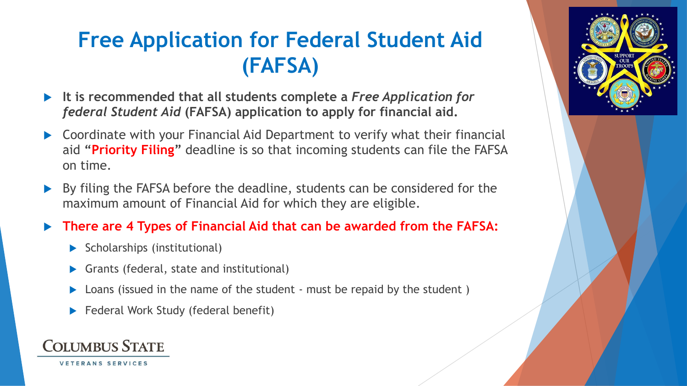## **Free Application for Federal Student Aid (FAFSA)**

- **It is recommended that all students complete a** *Free Application for federal Student Aid* **(FAFSA) application to apply for financial aid.**
- Coordinate with your Financial Aid Department to verify what their financial aid **"Priority Filing"** deadline is so that incoming students can file the FAFSA on time.
- By filing the FAFSA before the deadline, students can be considered for the maximum amount of Financial Aid for which they are eligible.

#### **There are 4 Types of Financial Aid that can be awarded from the FAFSA:**

- $\blacktriangleright$  Scholarships (institutional)
- Grants (federal, state and institutional)
- Loans (issued in the name of the student must be repaid by the student )
- Federal Work Study (federal benefit)

### **COLUMBUS STATE**

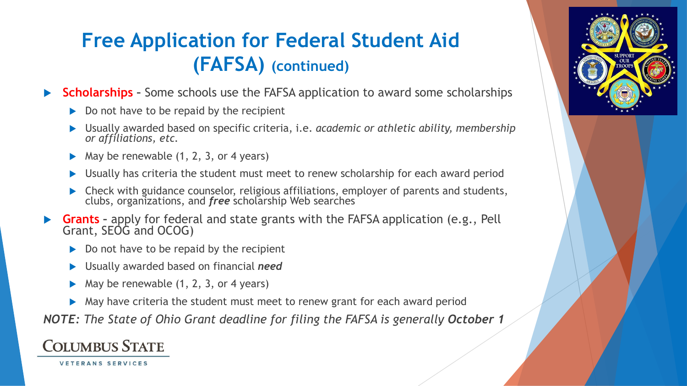## **Free Application for Federal Student Aid (FAFSA) (continued)**

- **Scholarships –** Some schools use the FAFSA application to award some scholarships
	- $\triangleright$  Do not have to be repaid by the recipient
	- Usually awarded based on specific criteria, i.e. *academic or athletic ability, membership or affiliations, etc.*
	- May be renewable (1, 2, 3, or 4 years)
	- Usually has criteria the student must meet to renew scholarship for each award period
	- **Check with guidance counselor, religious affiliations, employer of parents and students,** clubs, organizations, and *free* scholarship Web searches
- **Grants –** apply for federal and state grants with the FAFSA application (e.g., Pell Grant, SEOG and OCOG)
	- $\triangleright$  Do not have to be repaid by the recipient
	- Usually awarded based on financial *need*
	- May be renewable (1, 2, 3, or 4 years)
	- May have criteria the student must meet to renew grant for each award period

*NOTE: The State of Ohio Grant deadline for filing the FAFSA is generally October 1* 

#### **COLUMBUS STATE**

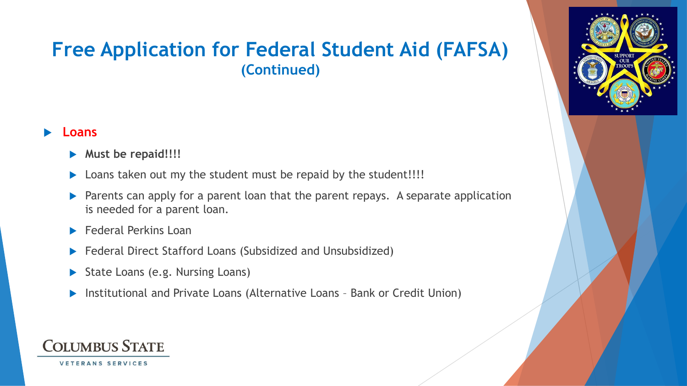### **Free Application for Federal Student Aid (FAFSA) (Continued)**

#### **Loans**

- **Must be repaid!!!!**
- Loans taken out my the student must be repaid by the student!!!!
- **Parents can apply for a parent loan that the parent repays.** A separate application is needed for a parent loan.
- **Federal Perkins Loan**
- ▶ Federal Direct Stafford Loans (Subsidized and Unsubsidized)
- State Loans (e.g. Nursing Loans)
- Institutional and Private Loans (Alternative Loans Bank or Credit Union)

### **COLUMBUS STATE**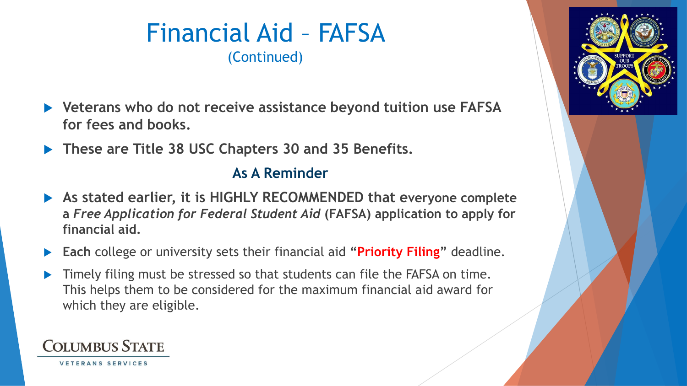### Financial Aid – FAFSA (Continued)

- **Veterans who do not receive assistance beyond tuition use FAFSA for fees and books.**
- **These are Title 38 USC Chapters 30 and 35 Benefits.**

#### **As A Reminder**

- **As stated earlier, it is HIGHLY RECOMMENDED that everyone complete a** *Free Application for Federal Student Aid* **(FAFSA) application to apply for financial aid.**
- **Each** college or university sets their financial aid **"Priority Filing"** deadline.
- Timely filing must be stressed so that students can file the FAFSA on time. This helps them to be considered for the maximum financial aid award for which they are eligible.

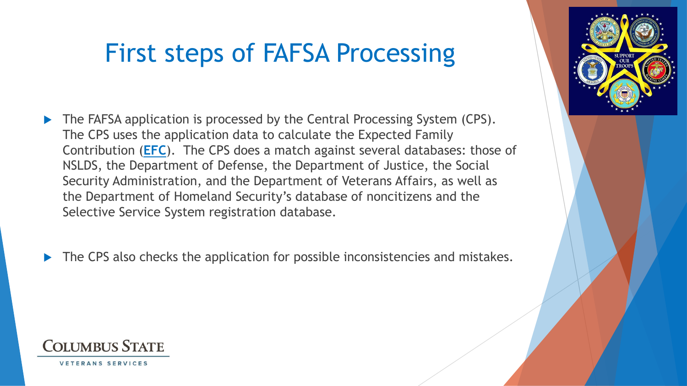# First steps of FAFSA Processing

- The FAFSA application is processed by the Central Processing System (CPS). The CPS uses the application data to calculate the Expected Family Contribution (**EFC**). The CPS does a match against several databases: those of NSLDS, the Department of Defense, the Department of Justice, the Social Security Administration, and the Department of Veterans Affairs, as well as the Department of Homeland Security's database of noncitizens and the Selective Service System registration database.
- The CPS also checks the application for possible inconsistencies and mistakes.



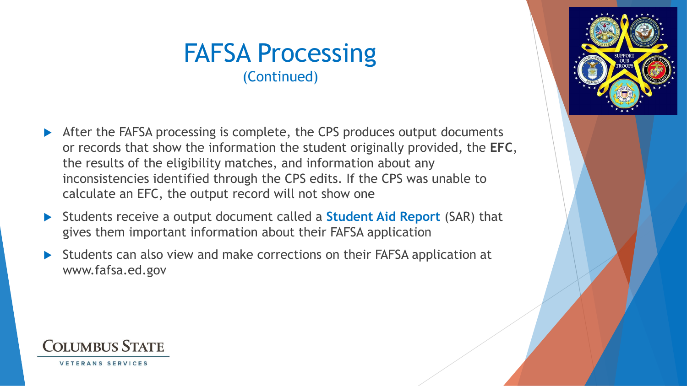### FAFSA Processing (Continued)

- After the FAFSA processing is complete, the CPS produces output documents or records that show the information the student originally provided, the **EFC**, the results of the eligibility matches, and information about any inconsistencies identified through the CPS edits. If the CPS was unable to calculate an EFC, the output record will not show one
- Students receive a output document called a **Student Aid Report** (SAR) that gives them important information about their FAFSA application
- Students can also view and make corrections on their FAFSA application at www.fafsa.ed.gov



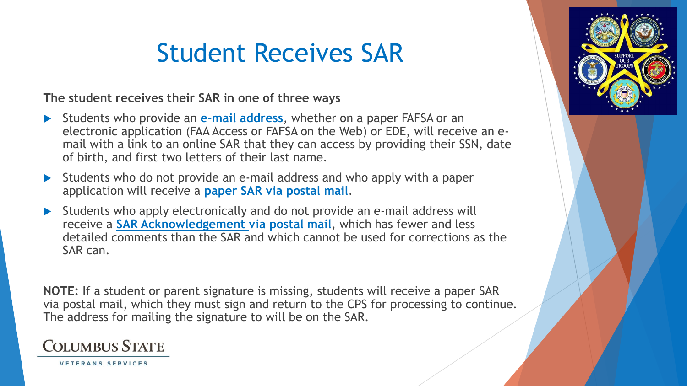# Student Receives SAR

**The student receives their SAR in one of three ways** 

- Students who provide an **e-mail address**, whether on a paper FAFSA or an electronic application (FAA Access or FAFSA on the Web) or EDE, will receive an email with a link to an online SAR that they can access by providing their SSN, date of birth, and first two letters of their last name.
- Students who do not provide an e-mail address and who apply with a paper application will receive a **paper SAR via postal mail**.
- Students who apply electronically and do not provide an e-mail address will receive a **SAR Acknowledgement via postal mail**, which has fewer and less detailed comments than the SAR and which cannot be used for corrections as the SAR can.

**NOTE:** If a student or parent signature is missing, students will receive a paper SAR via postal mail, which they must sign and return to the CPS for processing to continue. The address for mailing the signature to will be on the SAR.



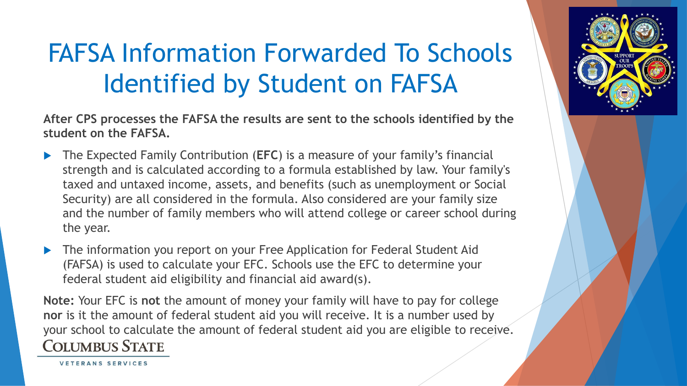# FAFSA Information Forwarded To Schools Identified by Student on FAFSA

**After CPS processes the FAFSA the results are sent to the schools identified by the student on the FAFSA.**

- The Expected Family Contribution (**EFC**) is a measure of your family's financial strength and is calculated according to a formula established by law. Your family's taxed and untaxed income, assets, and benefits (such as unemployment or Social Security) are all considered in the formula. Also considered are your family size and the number of family members who will attend college or career school during the year.
- The information you report on your Free Application for Federal Student Aid (FAFSA) is used to calculate your EFC. Schools use the EFC to determine your federal student aid eligibility and financial aid award(s).

**Note:** Your EFC is **not** the amount of money your family will have to pay for college **nor** is it the amount of federal student aid you will receive. It is a number used by your school to calculate the amount of federal student aid you are eligible to receive. **COLUMBUS STATE** 



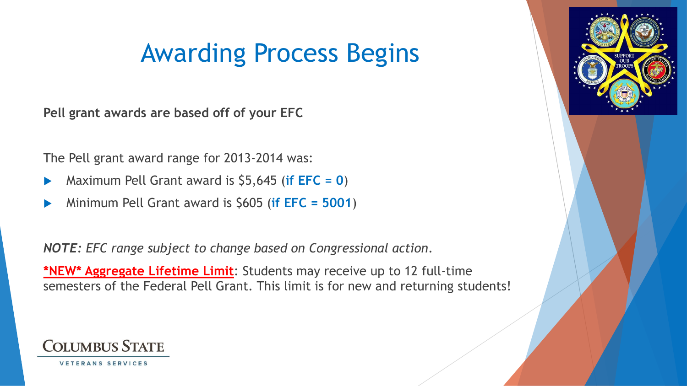## Awarding Process Begins

**Pell grant awards are based off of your EFC**

The Pell grant award range for 2013-2014 was:

- Maximum Pell Grant award is \$5,645 (**if EFC = 0**)
- Minimum Pell Grant award is \$605 (**if EFC = 5001**)

*NOTE: EFC range subject to change based on Congressional action*.

**\*NEW\* Aggregate Lifetime Limit**: Students may receive up to 12 full-time semesters of the Federal Pell Grant. This limit is for new and returning students!



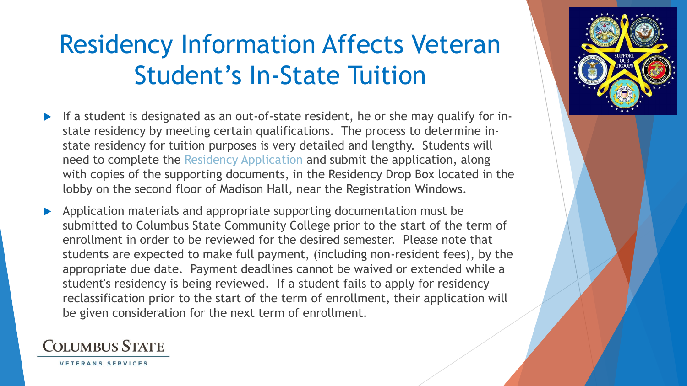# Residency Information Affects Veteran Student's In-State Tuition

- If a student is designated as an out-of-state resident, he or she may qualify for instate residency by meeting certain qualifications. The process to determine instate residency for tuition purposes is very detailed and lengthy. Students will need to complete the [Residency Application](http://www.cscc.edu/_resources/media/services/pdf/Residency Application.pdf) and submit the application, along with copies of the supporting documents, in the Residency Drop Box located in the lobby on the second floor of Madison Hall, near the Registration Windows.
- Application materials and appropriate supporting documentation must be submitted to Columbus State Community College prior to the start of the term of enrollment in order to be reviewed for the desired semester. Please note that students are expected to make full payment, (including non-resident fees), by the appropriate due date. Payment deadlines cannot be waived or extended while a student's residency is being reviewed. If a student fails to apply for residency reclassification prior to the start of the term of enrollment, their application will be given consideration for the next term of enrollment.

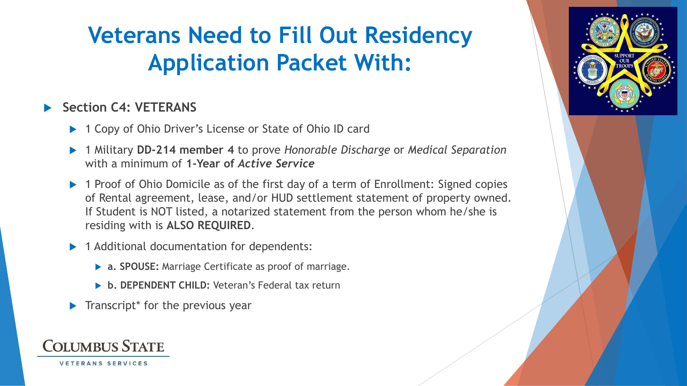## **Veterans Need to Fill Out Residency Application Packet With:**

#### **Section C4: VETERANS**

- ▶ 1 Copy of Ohio Driver's License or State of Ohio ID card
- 1 Military **DD‐214 member 4** to prove *Honorable Discharge* or *Medical Separation*  with a minimum of **1‐Year of** *Active Service*
- 1 Proof of Ohio Domicile as of the first day of a term of Enrollment: Signed copies of Rental agreement, lease, and/or HUD settlement statement of property owned. If Student is NOT listed, a notarized statement from the person whom he/she is residing with is **ALSO REQUIRED**.
- 1 Additional documentation for dependents:
	- **a. SPOUSE:** Marriage Certificate as proof of marriage.
	- **b. DEPENDENT CHILD:** Veteran's Federal tax return
- $\blacktriangleright$  Transcript<sup>\*</sup> for the previous year

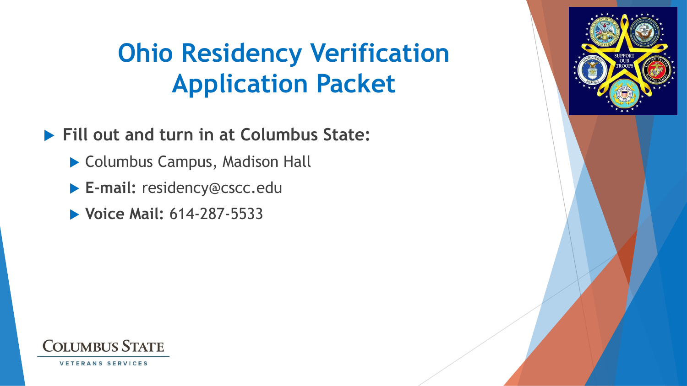# **Ohio Residency Verification Application Packet**

**Fill out and turn in at Columbus State:**

- ▶ Columbus Campus, Madison Hall
- **E-mail:** residency@cscc.edu
- **Voice Mail:** 614-287-5533

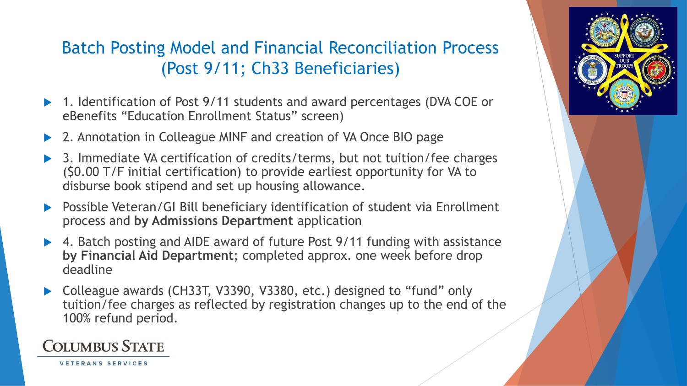#### Batch Posting Model and Financial Reconciliation Process (Post 9/11; Ch33 Beneficiaries)

- ▶ 1. Identification of Post 9/11 students and award percentages (DVA COE or eBenefits "Education Enrollment Status" screen)
- 2. Annotation in Colleague MINF and creation of VA Once BIO page
- ▶ 3. Immediate VA certification of credits/terms, but not tuition/fee charges (\$0.00 T/F initial certification) to provide earliest opportunity for VA to disburse book stipend and set up housing allowance.
- ▶ Possible Veteran/GI Bill beneficiary identification of student via Enrollment process and **by Admissions Department** application
- ▶ 4. Batch posting and AIDE award of future Post 9/11 funding with assistance **by Financial Aid Department**; completed approx. one week before drop deadline
- Colleague awards (CH33T, V3390, V3380, etc.) designed to "fund" only tuition/fee charges as reflected by registration changes up to the end of the 100% refund period.

#### **COLUMBUS STATE**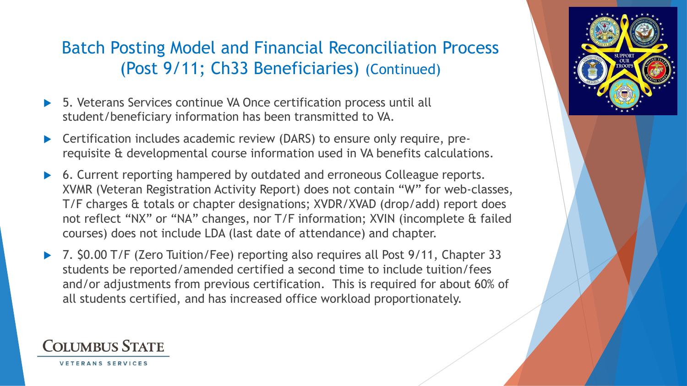#### Batch Posting Model and Financial Reconciliation Process (Post 9/11; Ch33 Beneficiaries) (Continued)

- ▶ 5. Veterans Services continue VA Once certification process until all student/beneficiary information has been transmitted to VA.
- Certification includes academic review (DARS) to ensure only require, prerequisite & developmental course information used in VA benefits calculations.
- 6. Current reporting hampered by outdated and erroneous Colleague reports. XVMR (Veteran Registration Activity Report) does not contain "W" for web-classes, T/F charges & totals or chapter designations; XVDR/XVAD (drop/add) report does not reflect "NX" or "NA" changes, nor T/F information; XVIN (incomplete & failed courses) does not include LDA (last date of attendance) and chapter.
- ▶ 7. \$0.00 T/F (Zero Tuition/Fee) reporting also requires all Post 9/11, Chapter 33 students be reported/amended certified a second time to include tuition/fees and/or adjustments from previous certification. This is required for about 60% of all students certified, and has increased office workload proportionately.

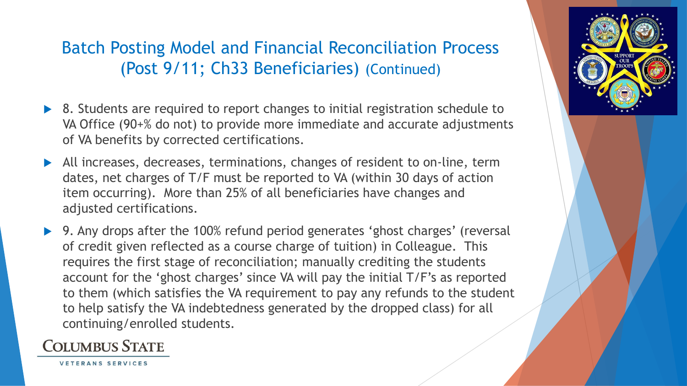#### Batch Posting Model and Financial Reconciliation Process (Post 9/11; Ch33 Beneficiaries) (Continued)

- ▶ 8. Students are required to report changes to initial registration schedule to VA Office (90+% do not) to provide more immediate and accurate adjustments of VA benefits by corrected certifications.
- All increases, decreases, terminations, changes of resident to on-line, term dates, net charges of T/F must be reported to VA (within 30 days of action item occurring). More than 25% of all beneficiaries have changes and adjusted certifications.
- ▶ 9. Any drops after the 100% refund period generates 'ghost charges' (reversal of credit given reflected as a course charge of tuition) in Colleague. This requires the first stage of reconciliation; manually crediting the students account for the 'ghost charges' since VA will pay the initial T/F's as reported to them (which satisfies the VA requirement to pay any refunds to the student to help satisfy the VA indebtedness generated by the dropped class) for all continuing/enrolled students.

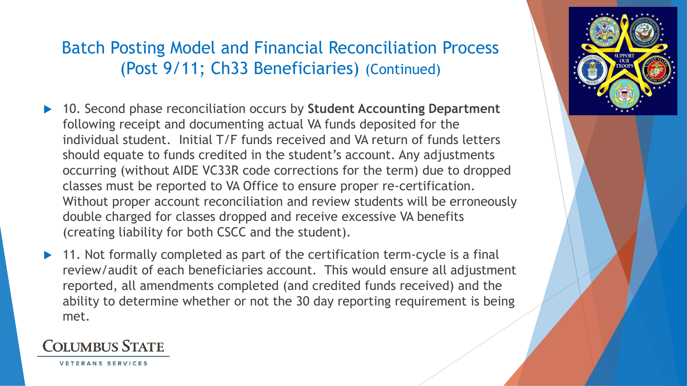#### Batch Posting Model and Financial Reconciliation Process (Post 9/11; Ch33 Beneficiaries) (Continued)

- ▶ 10. Second phase reconciliation occurs by Student Accounting Department following receipt and documenting actual VA funds deposited for the individual student. Initial T/F funds received and VA return of funds letters should equate to funds credited in the student's account. Any adjustments occurring (without AIDE VC33R code corrections for the term) due to dropped classes must be reported to VA Office to ensure proper re-certification. Without proper account reconciliation and review students will be erroneously double charged for classes dropped and receive excessive VA benefits (creating liability for both CSCC and the student).
- 11. Not formally completed as part of the certification term-cycle is a final review/audit of each beneficiaries account. This would ensure all adjustment reported, all amendments completed (and credited funds received) and the ability to determine whether or not the 30 day reporting requirement is being met.



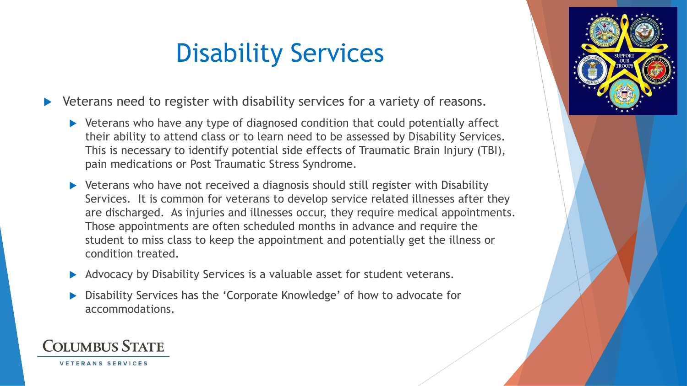# Disability Services

▶ Veterans need to register with disability services for a variety of reasons.

- Veterans who have any type of diagnosed condition that could potentially affect their ability to attend class or to learn need to be assessed by Disability Services. This is necessary to identify potential side effects of Traumatic Brain Injury (TBI), pain medications or Post Traumatic Stress Syndrome.
- Veterans who have not received a diagnosis should still register with Disability Services. It is common for veterans to develop service related illnesses after they are discharged. As injuries and illnesses occur, they require medical appointments. Those appointments are often scheduled months in advance and require the student to miss class to keep the appointment and potentially get the illness or condition treated.
- Advocacy by Disability Services is a valuable asset for student veterans.
- Disability Services has the 'Corporate Knowledge' of how to advocate for accommodations.



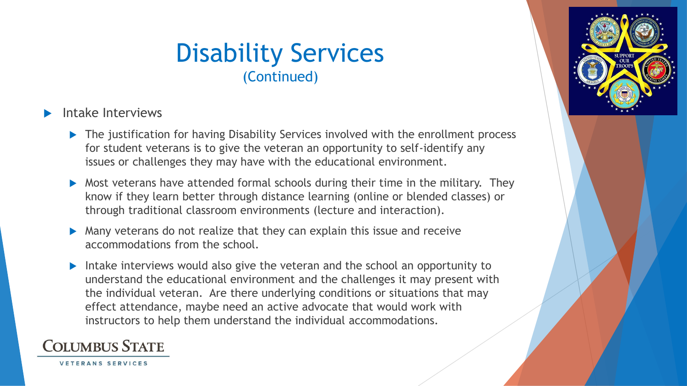### Disability Services (Continued)

#### Intake Interviews

- ▶ The justification for having Disability Services involved with the enrollment process for student veterans is to give the veteran an opportunity to self-identify any issues or challenges they may have with the educational environment.
- Most veterans have attended formal schools during their time in the military. They know if they learn better through distance learning (online or blended classes) or through traditional classroom environments (lecture and interaction).
- Many veterans do not realize that they can explain this issue and receive accommodations from the school.
- Intake interviews would also give the veteran and the school an opportunity to understand the educational environment and the challenges it may present with the individual veteran. Are there underlying conditions or situations that may effect attendance, maybe need an active advocate that would work with instructors to help them understand the individual accommodations.

#### **COLUMBUS STATE**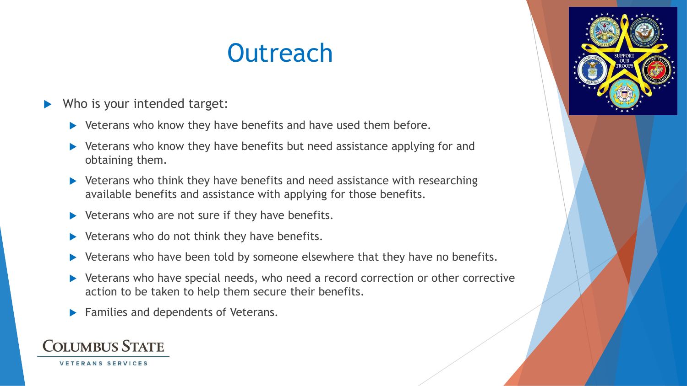# **Outreach**

#### Who is your intended target:

- $\blacktriangleright$  Veterans who know they have benefits and have used them before.
- ▶ Veterans who know they have benefits but need assistance applying for and obtaining them.
- ▶ Veterans who think they have benefits and need assistance with researching available benefits and assistance with applying for those benefits.
- $\blacktriangleright$  Veterans who are not sure if they have benefits.
- $\blacktriangleright$  Veterans who do not think they have benefits.
- Veterans who have been told by someone elsewhere that they have no benefits.
- ▶ Veterans who have special needs, who need a record correction or other corrective action to be taken to help them secure their benefits.
- Families and dependents of Veterans.

### **COLUMBUS STATE**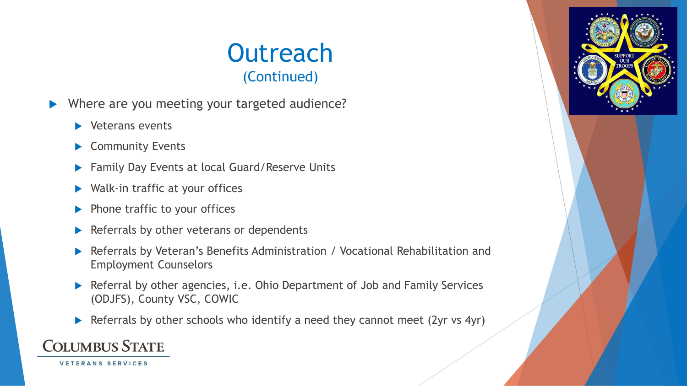- Where are you meeting your targeted audience?
	- **Veterans events**
	- Community Events
	- ▶ Family Day Events at local Guard/Reserve Units
	- ▶ Walk-in traffic at your offices
	- $\blacktriangleright$  Phone traffic to your offices
	- $\blacktriangleright$  Referrals by other veterans or dependents
	- Referrals by Veteran's Benefits Administration / Vocational Rehabilitation and Employment Counselors
	- Referral by other agencies, i.e. Ohio Department of Job and Family Services (ODJFS), County VSC, COWIC
	- Referrals by other schools who identify a need they cannot meet (2yr vs 4yr)

### **COLUMBUS STATE**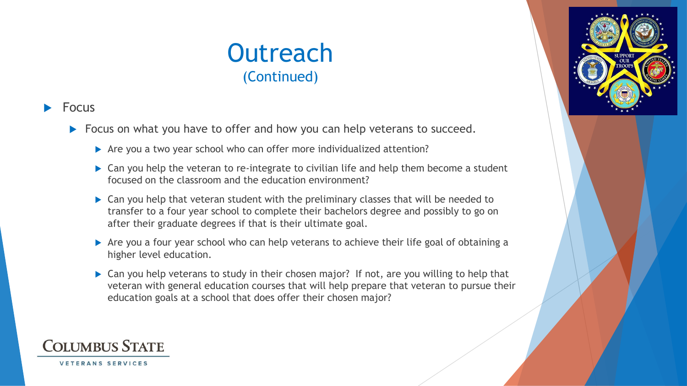#### Focus

- Focus on what you have to offer and how you can help veterans to succeed.
	- Are you a two year school who can offer more individualized attention?
	- ▶ Can you help the veteran to re-integrate to civilian life and help them become a student focused on the classroom and the education environment?
	- ▶ Can you help that veteran student with the preliminary classes that will be needed to transfer to a four year school to complete their bachelors degree and possibly to go on after their graduate degrees if that is their ultimate goal.
	- Are you a four year school who can help veterans to achieve their life goal of obtaining a higher level education.
	- ▶ Can you help veterans to study in their chosen major? If not, are you willing to help that veteran with general education courses that will help prepare that veteran to pursue their education goals at a school that does offer their chosen major?

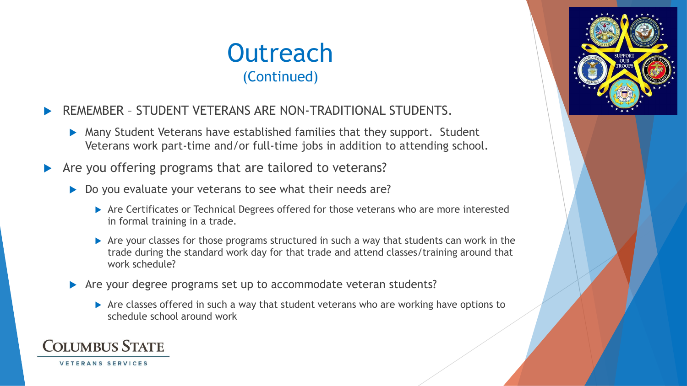- REMEMBER STUDENT VETERANS ARE NON-TRADITIONAL STUDENTS.
	- Many Student Veterans have established families that they support. Student Veterans work part-time and/or full-time jobs in addition to attending school.
- Are you offering programs that are tailored to veterans?
	- Do you evaluate your veterans to see what their needs are?
		- Are Certificates or Technical Degrees offered for those veterans who are more interested in formal training in a trade.
		- Are your classes for those programs structured in such a way that students can work in the trade during the standard work day for that trade and attend classes/training around that work schedule?
	- Are your degree programs set up to accommodate veteran students?
		- Are classes offered in such a way that student veterans who are working have options to schedule school around work

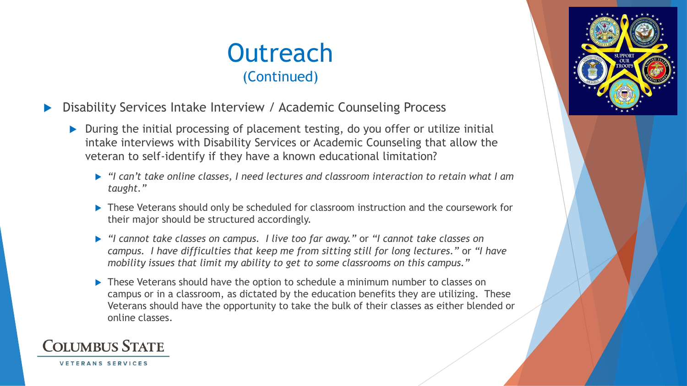- Disability Services Intake Interview / Academic Counseling Process
	- ▶ During the initial processing of placement testing, do you offer or utilize initial intake interviews with Disability Services or Academic Counseling that allow the veteran to self-identify if they have a known educational limitation?
		- *"I can't take online classes, I need lectures and classroom interaction to retain what I am taught."*
		- ▶ These Veterans should only be scheduled for classroom instruction and the coursework for their major should be structured accordingly.
		- *"I cannot take classes on campus. I live too far away."* or *"I cannot take classes on campus. I have difficulties that keep me from sitting still for long lectures."* or *"I have mobility issues that limit my ability to get to some classrooms on this campus."*
		- ▶ These Veterans should have the option to schedule a minimum number to classes on campus or in a classroom, as dictated by the education benefits they are utilizing. These Veterans should have the opportunity to take the bulk of their classes as either blended or online classes.



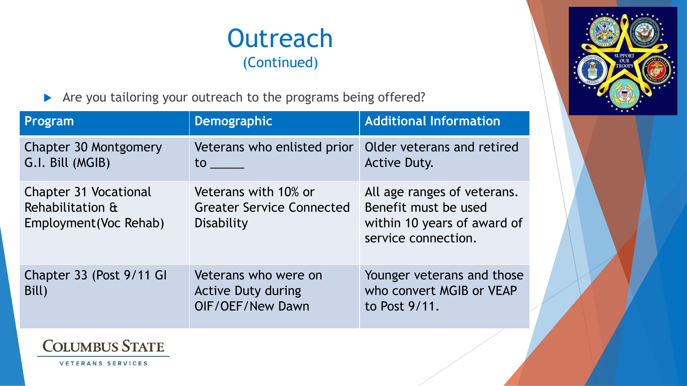

Are you tailoring your outreach to the programs being offered?

| Program                                                                    | <b>Demographic</b>                                                     | <b>Additional Information</b>                                                                             |
|----------------------------------------------------------------------------|------------------------------------------------------------------------|-----------------------------------------------------------------------------------------------------------|
| Chapter 30 Montgomery<br>G.I. Bill (MGIB)                                  | Veterans who enlisted prior<br>$\mathsf{to}$                           | Older veterans and retired<br><b>Active Duty.</b>                                                         |
| <b>Chapter 31 Vocational</b><br>Rehabilitation &<br>Employment (Voc Rehab) | Veterans with 10% or<br><b>Greater Service Connected</b><br>Disability | All age ranges of veterans.<br>Benefit must be used<br>within 10 years of award of<br>service connection. |
| Chapter 33 (Post 9/11 GI<br>Bill)                                          | Veterans who were on<br><b>Active Duty during</b><br>OIF/OEF/New Dawn  | Younger veterans and those<br>who convert MGIB or VEAP<br>to Post 9/11.                                   |



**COLUMBUS STATE**